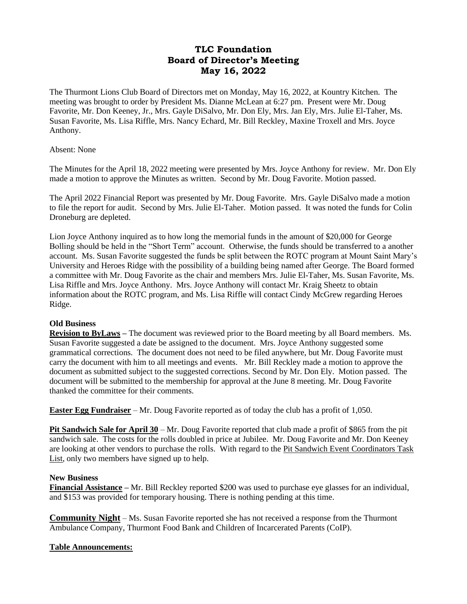# **TLC Foundation Board of Director's Meeting May 16, 2022**

The Thurmont Lions Club Board of Directors met on Monday, May 16, 2022, at Kountry Kitchen. The meeting was brought to order by President Ms. Dianne McLean at 6:27 pm. Present were Mr. Doug Favorite, Mr. Don Keeney, Jr., Mrs. Gayle DiSalvo, Mr. Don Ely, Mrs. Jan Ely, Mrs. Julie El-Taher, Ms. Susan Favorite, Ms. Lisa Riffle, Mrs. Nancy Echard, Mr. Bill Reckley, Maxine Troxell and Mrs. Joyce Anthony.

### Absent: None

The Minutes for the April 18, 2022 meeting were presented by Mrs. Joyce Anthony for review. Mr. Don Ely made a motion to approve the Minutes as written. Second by Mr. Doug Favorite. Motion passed.

The April 2022 Financial Report was presented by Mr. Doug Favorite. Mrs. Gayle DiSalvo made a motion to file the report for audit. Second by Mrs. Julie El-Taher. Motion passed. It was noted the funds for Colin Droneburg are depleted.

Lion Joyce Anthony inquired as to how long the memorial funds in the amount of \$20,000 for George Bolling should be held in the "Short Term" account. Otherwise, the funds should be transferred to a another account. Ms. Susan Favorite suggested the funds be split between the ROTC program at Mount Saint Mary's University and Heroes Ridge with the possibility of a building being named after George. The Board formed a committee with Mr. Doug Favorite as the chair and members Mrs. Julie El-Taher, Ms. Susan Favorite, Ms. Lisa Riffle and Mrs. Joyce Anthony. Mrs. Joyce Anthony will contact Mr. Kraig Sheetz to obtain information about the ROTC program, and Ms. Lisa Riffle will contact Cindy McGrew regarding Heroes Ridge.

### **Old Business**

**Revision to ByLaws –** The document was reviewed prior to the Board meeting by all Board members. Ms. Susan Favorite suggested a date be assigned to the document. Mrs. Joyce Anthony suggested some grammatical corrections. The document does not need to be filed anywhere, but Mr. Doug Favorite must carry the document with him to all meetings and events. Mr. Bill Reckley made a motion to approve the document as submitted subject to the suggested corrections. Second by Mr. Don Ely. Motion passed. The document will be submitted to the membership for approval at the June 8 meeting. Mr. Doug Favorite thanked the committee for their comments.

**Easter Egg Fundraiser** – Mr. Doug Favorite reported as of today the club has a profit of 1,050.

**Pit Sandwich Sale for April 30** – Mr. Doug Favorite reported that club made a profit of \$865 from the pit sandwich sale. The costs for the rolls doubled in price at Jubilee. Mr. Doug Favorite and Mr. Don Keeney are looking at other vendors to purchase the rolls. With regard to the Pit Sandwich Event Coordinators Task List, only two members have signed up to help.

### **New Business**

**Financial Assistance –** Mr. Bill Reckley reported \$200 was used to purchase eye glasses for an individual, and \$153 was provided for temporary housing. There is nothing pending at this time.

**Community Night** – Ms. Susan Favorite reported she has not received a response from the Thurmont Ambulance Company, Thurmont Food Bank and Children of Incarcerated Parents (CoIP).

## **Table Announcements:**